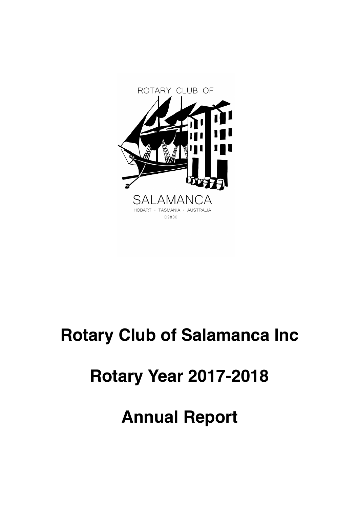

# **Rotary Club of Salamanca Inc**

# **Rotary Year 2017-2018**

# **Annual Report**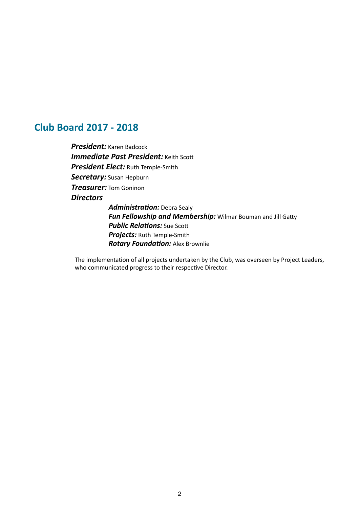# **Club Board 2017 - 2018**

**President:** Karen Badcock *Immediate Past President:* Keith Scott **President Elect:** Ruth Temple-Smith Secretary: Susan Hepburn *Treasurer:* Tom Goninon *Directors*  Administration: Debra Sealy

**Fun Fellowship and Membership:** Wilmar Bouman and Jill Gatty **Public Relations:** Sue Scott *Projects:* Ruth Temple-Smith **Rotary Foundation:** Alex Brownlie

The implementation of all projects undertaken by the Club, was overseen by Project Leaders, who communicated progress to their respective Director.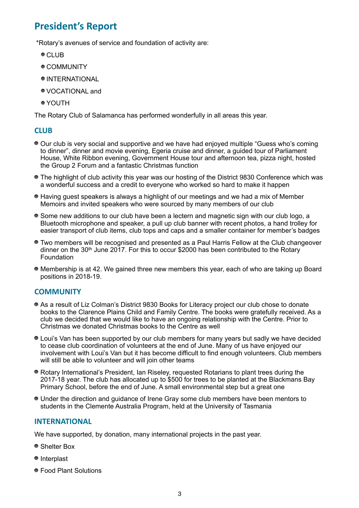# **President's Report**

\*Rotary's avenues of service and foundation of activity are:

- CLUB
- COMMUNITY
- $\bullet$  INTERNATIONAL
- VOCATIONAL and
- YOUTH

The Rotary Club of Salamanca has performed wonderfully in all areas this year.

# **CLUB**

- Our club is very social and supportive and we have had enjoyed multiple "Guess who's coming to dinner", dinner and movie evening, Egeria cruise and dinner, a guided tour of Parliament House, White Ribbon evening, Government House tour and afternoon tea, pizza night, hosted the Group 2 Forum and a fantastic Christmas function
- The highlight of club activity this year was our hosting of the District 9830 Conference which was a wonderful success and a credit to everyone who worked so hard to make it happen
- Having guest speakers is always a highlight of our meetings and we had a mix of Member Memoirs and invited speakers who were sourced by many members of our club
- Some new additions to our club have been a lectern and magnetic sign with our club logo, a Bluetooth microphone and speaker, a pull up club banner with recent photos, a hand trolley for easier transport of club items, club tops and caps and a smaller container for member's badges
- Two members will be recognised and presented as a Paul Harris Fellow at the Club changeover dinner on the 30th June 2017. For this to occur \$2000 has been contributed to the Rotary Foundation
- Membership is at 42. We gained three new members this year, each of who are taking up Board positions in 2018-19.

# **COMMUNITY**

- As a result of Liz Colman's District 9830 Books for Literacy project our club chose to donate books to the Clarence Plains Child and Family Centre. The books were gratefully received. As a club we decided that we would like to have an ongoing relationship with the Centre. Prior to Christmas we donated Christmas books to the Centre as well
- Loui's Van has been supported by our club members for many years but sadly we have decided to cease club coordination of volunteers at the end of June. Many of us have enjoyed our involvement with Loui's Van but it has become difficult to find enough volunteers. Club members will still be able to volunteer and will join other teams
- Rotary International's President, Ian Riseley, requested Rotarians to plant trees during the 2017-18 year. The club has allocated up to \$500 for trees to be planted at the Blackmans Bay Primary School, before the end of June. A small environmental step but a great one
- Under the direction and guidance of Irene Gray some club members have been mentors to students in the Clemente Australia Program, held at the University of Tasmania

# **INTERNATIONAL**

We have supported, by donation, many international projects in the past year.

- Shelter Box
- Interplast
- Food Plant Solutions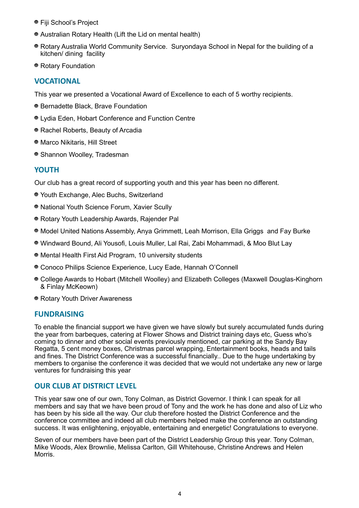- Fiji School's Project
- Australian Rotary Health (Lift the Lid on mental health)
- Rotary Australia World Community Service. Suryondaya School in Nepal for the building of a kitchen/ dining facility
- Rotary Foundation

# **VOCATIONAL**

This year we presented a Vocational Award of Excellence to each of 5 worthy recipients.

- Bernadette Black, Brave Foundation
- Lydia Eden, Hobart Conference and Function Centre
- Rachel Roberts, Beauty of Arcadia
- Marco Nikitaris, Hill Street
- Shannon Woolley, Tradesman

# **YOUTH**

Our club has a great record of supporting youth and this year has been no different.

- Youth Exchange, Alec Buchs, Switzerland
- National Youth Science Forum, Xavier Scully
- Rotary Youth Leadership Awards, Rajender Pal
- Model United Nations Assembly, Anya Grimmett, Leah Morrison, Ella Griggs and Fay Burke
- Windward Bound, Ali Yousofi, Louis Muller, Lal Rai, Zabi Mohammadi, & Moo Blut Lay
- Mental Health First Aid Program, 10 university students
- Conoco Philips Science Experience, Lucy Eade, Hannah O'Connell
- College Awards to Hobart (Mitchell Woolley) and Elizabeth Colleges (Maxwell Douglas-Kinghorn & Finlay McKeown)
- Rotary Youth Driver Awareness

# **FUNDRAISING**

To enable the financial support we have given we have slowly but surely accumulated funds during the year from barbeques, catering at Flower Shows and District training days etc, Guess who's coming to dinner and other social events previously mentioned, car parking at the Sandy Bay Regatta, 5 cent money boxes, Christmas parcel wrapping, Entertainment books, heads and tails and fines. The District Conference was a successful financially.. Due to the huge undertaking by members to organise the conference it was decided that we would not undertake any new or large ventures for fundraising this year

# **OUR CLUB AT DISTRICT LEVEL**

This year saw one of our own, Tony Colman, as District Governor. I think I can speak for all members and say that we have been proud of Tony and the work he has done and also of Liz who has been by his side all the way. Our club therefore hosted the District Conference and the conference committee and indeed all club members helped make the conference an outstanding success. It was enlightening, enjoyable, entertaining and energetic! Congratulations to everyone.

Seven of our members have been part of the District Leadership Group this year. Tony Colman, Mike Woods, Alex Brownlie, Melissa Carlton, Gill Whitehouse, Christine Andrews and Helen Morris.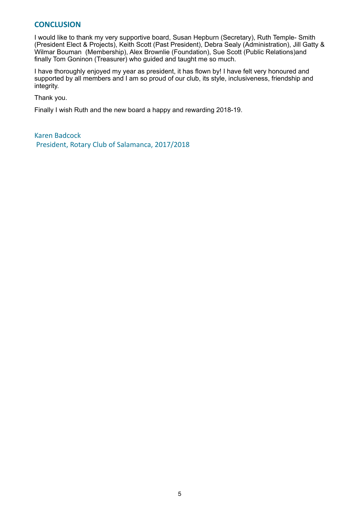# **CONCLUSION**

I would like to thank my very supportive board, Susan Hepburn (Secretary), Ruth Temple- Smith (President Elect & Projects), Keith Scott (Past President), Debra Sealy (Administration), Jill Gatty & Wilmar Bouman (Membership), Alex Brownlie (Foundation), Sue Scott (Public Relations)and finally Tom Goninon (Treasurer) who guided and taught me so much.

I have thoroughly enjoyed my year as president, it has flown by! I have felt very honoured and supported by all members and I am so proud of our club, its style, inclusiveness, friendship and integrity.

Thank you.

Finally I wish Ruth and the new board a happy and rewarding 2018-19.

Karen Badcock President, Rotary Club of Salamanca, 2017/2018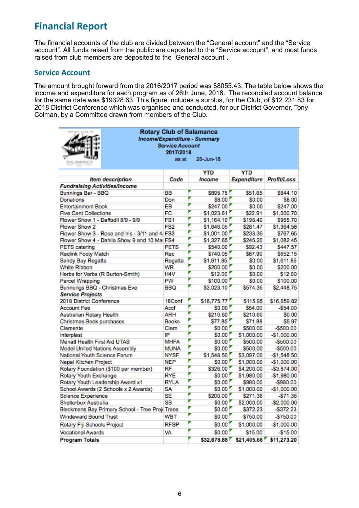# **Financial Report**

The financial accounts of the club are divided between the "General account" and the "Service account". All funds raised from the public are deposited to the "Service account", and most funds raised from club members are deposited to the "General account".

# **Service Account**

The amount brought forward from the 2016/2017 period was \$8055.43. The table below shows the income and expenditure for each program as of 26th June, 2018. The reconciled account balance for the same date was \$19328.63. This figure includes a surplus, for the Club, of \$12 231.83 for 2018 District Conference which was organised and conducted, for our District Governor, Tony Colman, by a Committee drawn from members of the Club.

| <b>Rotary Club of Salamanca</b><br>Income/Expenditure - Summary<br><b>Service Account</b><br>2017/2018<br>26-Jun-18<br>as at<br>SAL AMAMIC |                 |             |             |                    |  |  |  |
|--------------------------------------------------------------------------------------------------------------------------------------------|-----------------|-------------|-------------|--------------------|--|--|--|
|                                                                                                                                            |                 | YTD         | <b>YTD</b>  |                    |  |  |  |
| <b>Item description</b>                                                                                                                    | Code            | Income      | Expenditure | <b>Profit/Loss</b> |  |  |  |
| <b>Fundraising Activities/Income</b>                                                                                                       |                 |             |             |                    |  |  |  |
| Bunnings Bar - BBQ                                                                                                                         | BВ              | \$895.75    | \$51.65     | \$844.10           |  |  |  |
| Donations                                                                                                                                  | Don             | \$8.00      | \$0.00      | \$8.00             |  |  |  |
| <b>Entertainment Book</b>                                                                                                                  | EB              | \$247.00    | \$0.00      | \$247.00           |  |  |  |
| <b>Five Cent Collections</b>                                                                                                               | FC              | \$1,023.61  | \$22.91     | \$1,000.70         |  |  |  |
| Flower Show 1 - Daffodil 8/9 - 9/9                                                                                                         | FS1             | \$1,164.10  | \$198.40    | \$965.70           |  |  |  |
| Flower Show 2                                                                                                                              | FS <sub>2</sub> | \$1,646.05  | \$281.47    | \$1,364.58         |  |  |  |
| Flower Show 3 - Rose and Iris - 3/11 and 4/ FS3                                                                                            |                 | \$1,001.00  | \$233.35    | \$767.65           |  |  |  |
| Flower Show 4 - Dahlia Show 9 and 10 Mai FS4                                                                                               |                 | \$1,327.65  | \$245.20    | \$1,082.45         |  |  |  |
| <b>PETS</b> catering                                                                                                                       | <b>PETS</b>     | \$540.00    | \$92.43     | \$447.57           |  |  |  |
| <b>Reclink Footy Match</b>                                                                                                                 | Rec             | \$740.05    | \$87.90     | \$652.15           |  |  |  |
| Sandy Bay Regatta                                                                                                                          | Regatta         | \$1,611.85  | \$0.00      | \$1,611.85         |  |  |  |
| White Ribbon                                                                                                                               | WR              | \$200.00    | \$0.00      | \$200.00           |  |  |  |
| Herbs for Verbs (R Burton-Smith)                                                                                                           | H4V             | \$12.00     | \$0.00      | \$12.00            |  |  |  |
| Parcel Wrapping                                                                                                                            | PW              | \$100.00    | \$0.00      | \$100.00           |  |  |  |
| Bunnungs BBQ - Christmas Eve                                                                                                               | BBQ             | \$3,023.10  | \$574.35    | \$2,448.75         |  |  |  |
| <b>Service Projects</b>                                                                                                                    |                 |             |             |                    |  |  |  |
| 2018 District Conference                                                                                                                   | 18Conf          | \$16,775.77 | \$115.95    | \$16,659.82        |  |  |  |
| <b>Account Fee</b>                                                                                                                         | Accf            | \$0.00      | \$54.00     | $-$54.00$          |  |  |  |
| Australian Rotary Health                                                                                                                   | ARH             | \$210.60    | \$210.60    | \$0.00             |  |  |  |
| Christmas Book purchases                                                                                                                   | <b>Books</b>    | \$77.85     | \$71.88     | \$5.97             |  |  |  |
| Clemente                                                                                                                                   | Clem            | \$0.00      | \$500.00    | $-$500.00$         |  |  |  |
| Interplast                                                                                                                                 | IP              | \$0.00      | \$1,000.00  | $-$1,000.00$       |  |  |  |
| Menatl Health First Aid UTAS                                                                                                               | <b>MHFA</b>     | \$0.00      | \$500.00    | $-$500.00$         |  |  |  |
| <b>Model United Nations Assembly</b>                                                                                                       | MUNA            | \$0.00      | \$500.00    | $-$500.00$         |  |  |  |
| National Youth Science Forum                                                                                                               | <b>NYSF</b>     | \$1,548.50  | \$3,097.00  | $-$1,548.50$       |  |  |  |
| Nepal Kitchen Project                                                                                                                      | <b>NEP</b>      | \$0.00      | \$1,000.00  | $-$1,000.00$       |  |  |  |
| Rotary Foundation (\$100 per member)                                                                                                       | RF              | \$326.00    | \$4,200.00  | $-$3,874.00$       |  |  |  |
| Rotary Youth Exchange                                                                                                                      | <b>RYE</b>      | \$0.00      | \$1,980.00  | $-$1,980.00$       |  |  |  |
| Rotary Youth Leadership Award x1                                                                                                           | <b>RYLA</b>     | \$0.00      | \$980.00    | $-$ \$980.00       |  |  |  |
| School Awards (2 Schools x 2 Awards)                                                                                                       | SA              | \$0.00      | \$1,000.00  | $-$1,000.00$       |  |  |  |
| Science Experience                                                                                                                         | SE              | \$200.00    | \$271.36    | $-$71.36$          |  |  |  |
| Shelterbox Australia                                                                                                                       | SB              | \$0.00      | \$2,000.00  | $-$2,000.00$       |  |  |  |
| Blackmans Bay Primary School - Tree Proj(Trees                                                                                             |                 | \$0.00      | \$372.23    | $-5372.23$         |  |  |  |
| Windeward Bound Trust                                                                                                                      | WBT             | \$0.00      | \$750.00    | -\$750.00          |  |  |  |
| Rotary Fiji Schools Project                                                                                                                | <b>RFSP</b>     | \$0.00      | \$1,000.00  | $-$1,000.00$       |  |  |  |
| <b>Vocational Awards</b>                                                                                                                   | VA              | \$0.00      | \$15.00     | $-$15.00$          |  |  |  |
| <b>Program Totals</b>                                                                                                                      |                 | \$32,678.88 | \$21,405.68 | \$11,273.20        |  |  |  |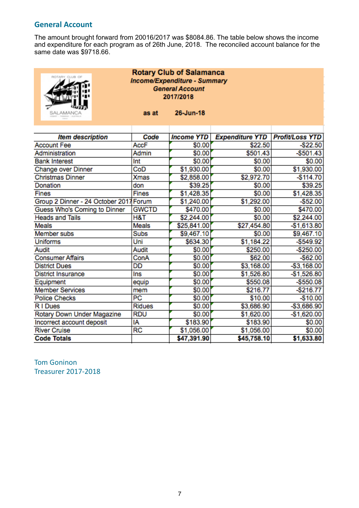# **General Account**

The amount brought forward from 20016/2017 was \$8084.86. The table below shows the income and expenditure for each program as of 26th June, 2018. The reconciled account balance for the same date was \$9718.66.

| <b>Rotary Club of Salamanca</b><br>ROTARY CLUB OF<br><b>Income/Expenditure - Summary</b><br><b>General Account</b><br>2017/2018 |               |                   |                        |                        |  |  |
|---------------------------------------------------------------------------------------------------------------------------------|---------------|-------------------|------------------------|------------------------|--|--|
| SALAMANCA                                                                                                                       | as at         | 26-Jun-18         |                        |                        |  |  |
| <b>Item description</b>                                                                                                         | Code          | <b>Income YTD</b> | <b>Expenditure YTD</b> | <b>Profit/Loss YTD</b> |  |  |
| <b>Account Fee</b>                                                                                                              | <b>AccF</b>   | \$0.00            | \$22.50                | $-$ \$22.50            |  |  |
| Administration                                                                                                                  | Admin         | \$0.00            | \$501.43               | $-$ \$501.43           |  |  |
| <b>Bank Interest</b>                                                                                                            | Int           | \$0.00            | \$0.00                 | \$0.00                 |  |  |
| Change over Dinner                                                                                                              | CoD           | \$1,930.00        | \$0.00                 | \$1,930.00             |  |  |
| <b>Christmas Dinner</b>                                                                                                         | <b>Xmas</b>   | \$2,858.00        | \$2,972.70             | $-$114.70$             |  |  |
| Donation                                                                                                                        | don           | \$39.25           | \$0.00                 | \$39.25                |  |  |
| <b>Fines</b>                                                                                                                    | <b>Fines</b>  | \$1,428.35        | \$0.00                 | \$1,428.35             |  |  |
| Group 2 Dinner - 24 October 2017 Forum                                                                                          |               | \$1,240.00        | \$1,292.00             | $-$ \$52.00            |  |  |
| Guess Who's Coming to Dinner                                                                                                    | <b>GWCTD</b>  | \$470.00          | \$0.00                 | \$470.00               |  |  |
| <b>Heads and Tails</b>                                                                                                          | H&T           | \$2,244.00        | \$0.00                 | \$2,244.00             |  |  |
| <b>Meals</b>                                                                                                                    | <b>Meals</b>  | \$25,841.00       | \$27,454.80            | $-$1,613.80$           |  |  |
| Member subs                                                                                                                     | Subs          | \$9,467.10        | \$0.00                 | \$9,467.10             |  |  |
| <b>Uniforms</b>                                                                                                                 | Uni           | \$634.30          | \$1,184.22             | $-$ \$549.92           |  |  |
| Audit                                                                                                                           | Audit         | \$0.00            | \$250.00               | $-$ \$250.00           |  |  |
| <b>Consumer Affairs</b>                                                                                                         | ConA          | \$0.00            | \$62.00                | $-$ \$62.00            |  |  |
| <b>District Dues</b>                                                                                                            | DD            | \$0.00            | \$3,168.00             | $- $3,168.00$          |  |  |
| <b>District Insurance</b>                                                                                                       | Ins           | \$0.00            | \$1,526.80             | $-$1,526.80$           |  |  |
| Equipment                                                                                                                       | equip         | \$0.00            | \$550.08               | $-$ \$550.08           |  |  |
| <b>Member Services</b>                                                                                                          | mem           | \$0.00            | \$216.77               | $-$ \$216.77           |  |  |
| <b>Police Checks</b>                                                                                                            | PC            | \$0.00            | \$10.00                | $-$ \$10.00            |  |  |
| RI Dues                                                                                                                         | <b>Ridues</b> | \$0.00            | \$3,686.90             | -\$3,686.90            |  |  |
| Rotary Down Under Magazine                                                                                                      | <b>RDU</b>    | \$0.00            | \$1,620.00             | $-$1,620.00$           |  |  |
| Incorrect account deposit                                                                                                       | ١A            | \$183.90          | \$183.90               | \$0.00                 |  |  |
| <b>River Cruise</b>                                                                                                             | <b>RC</b>     | \$1,056.00        | \$1,056.00             | \$0.00                 |  |  |
| <b>Code Totals</b>                                                                                                              |               | \$47,391.90       | \$45,758.10            | \$1,633.80             |  |  |

**Tom Goninon** Treasurer 2017-2018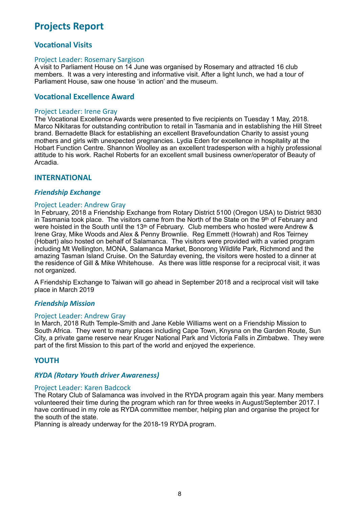# **Projects Report**

# **Vocational Visits**

#### Project Leader: Rosemary Sargison

A visit to Parliament House on 14 June was organised by Rosemary and attracted 16 club members. It was a very interesting and informative visit. After a light lunch, we had a tour of Parliament House, saw one house 'in action' and the museum.

# **Vocational Excellence Award**

#### Project Leader: Irene Gray

The Vocational Excellence Awards were presented to five recipients on Tuesday 1 May, 2018. Marco Nikitaras for outstanding contribution to retail in Tasmania and in establishing the Hill Street brand. Bernadette Black for establishing an excellent Bravefoundation Charity to assist young mothers and girls with unexpected pregnancies. Lydia Eden for excellence in hospitality at the Hobart Function Centre. Shannon Woolley as an excellent tradesperson with a highly professional attitude to his work. Rachel Roberts for an excellent small business owner/operator of Beauty of Arcadia.

#### **INTERNATIONAL**

#### **Friendship Exchange**

#### Project Leader: Andrew Gray

In February, 2018 a Friendship Exchange from Rotary District 5100 (Oregon USA) to District 9830 in Tasmania took place. The visitors came from the North of the State on the  $9<sup>th</sup>$  of February and were hoisted in the South until the 13<sup>th</sup> of February. Club members who hosted were Andrew & Irene Gray, Mike Woods and Alex & Penny Brownlie. Reg Emmett (Howrah) and Ros Teirney (Hobart) also hosted on behalf of Salamanca. The visitors were provided with a varied program including Mt Wellington, MONA, Salamanca Market, Bonorong Wildlife Park, Richmond and the amazing Tasman Island Cruise. On the Saturday evening, the visitors were hosted to a dinner at the residence of Gill & Mike Whitehouse. As there was little response for a reciprocal visit, it was not organized.

A Friendship Exchange to Taiwan will go ahead in September 2018 and a reciprocal visit will take place in March 2019

#### *Friendship Mission*

#### Project Leader: Andrew Gray

In March, 2018 Ruth Temple-Smith and Jane Keble Williams went on a Friendship Mission to South Africa. They went to many places including Cape Town, Knysna on the Garden Route, Sun City, a private game reserve near Kruger National Park and Victoria Falls in Zimbabwe. They were part of the first Mission to this part of the world and enjoyed the experience.

# **YOUTH**

#### *RYDA (Rotary Youth driver Awareness)*

#### Project Leader: Karen Badcock

The Rotary Club of Salamanca was involved in the RYDA program again this year. Many members volunteered their time during the program which ran for three weeks in August/September 2017. I have continued in my role as RYDA committee member, helping plan and organise the project for the south of the state.

Planning is already underway for the 2018-19 RYDA program.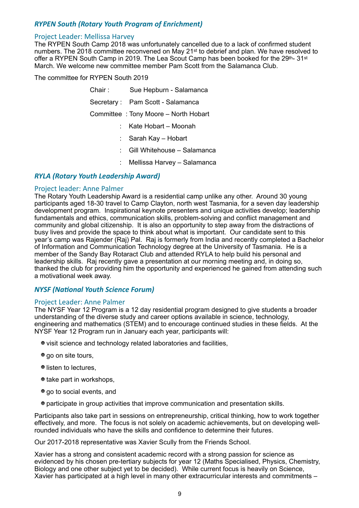# *RYPEN South (Rotary Youth Program of Enrichment)*

#### Project Leader: Mellissa Harvey

The RYPEN South Camp 2018 was unfortunately cancelled due to a lack of confirmed student numbers. The 2018 committee reconvened on May 21st to debrief and plan. We have resolved to offer a RYPEN South Camp in 2019. The Lea Scout Camp has been booked for the 29th- 31st March. We welcome new committee member Pam Scott from the Salamanca Club.

The committee for RYPEN South 2019

| Chair: | Sue Hepburn - Salamanca              |
|--------|--------------------------------------|
|        | Secretary: Pam Scott - Salamanca     |
|        | Committee: Tony Moore - North Hobart |
|        | Kate Hobart – Moonah                 |
|        | Sarah Kay - Hobart                   |
|        | Gill Whitehouse - Salamanca          |
| ÷      | Mellissa Harvey - Salamanca          |

#### *RYLA (Rotary Youth Leadership Award)*

#### Project leader: Anne Palmer

The Rotary Youth Leadership Award is a residential camp unlike any other. Around 30 young participants aged 18-30 travel to Camp Clayton, north west Tasmania, for a seven day leadership development program. Inspirational keynote presenters and unique activities develop; leadership fundamentals and ethics, communication skills, problem-solving and conflict management and community and global citizenship. It is also an opportunity to step away from the distractions of busy lives and provide the space to think about what is important. Our candidate sent to this year's camp was Rajender (Raj) Pal. Raj is formerly from India and recently completed a Bachelor of Information and Communication Technology degree at the University of Tasmania. He is a member of the Sandy Bay Rotaract Club and attended RYLA to help build his personal and leadership skills. Raj recently gave a presentation at our morning meeting and, in doing so, thanked the club for providing him the opportunity and experienced he gained from attending such a motivational week away.

#### *NYSF* (National Youth Science Forum)

#### Project Leader: Anne Palmer

The NYSF Year 12 Program is a 12 day residential program designed to give students a broader understanding of the diverse study and career options available in science, technology, engineering and mathematics (STEM) and to encourage continued studies in these fields. At the NYSF Year 12 Program run in January each year, participants will:

- visit science and technology related laboratories and facilities,
- go on site tours,
- listen to lectures.
- take part in workshops.
- $\bullet$  go to social events, and
- participate in group activities that improve communication and presentation skills.

Participants also take part in sessions on entrepreneurship, critical thinking, how to work together effectively, and more. The focus is not solely on academic achievements, but on developing wellrounded individuals who have the skills and confidence to determine their futures.

Our 2017-2018 representative was Xavier Scully from the Friends School.

Xavier has a strong and consistent academic record with a strong passion for science as evidenced by his chosen pre-tertiary subjects for year 12 (Maths Specialised, Physics, Chemistry, Biology and one other subject yet to be decided). While current focus is heavily on Science, Xavier has participated at a high level in many other extracurricular interests and commitments –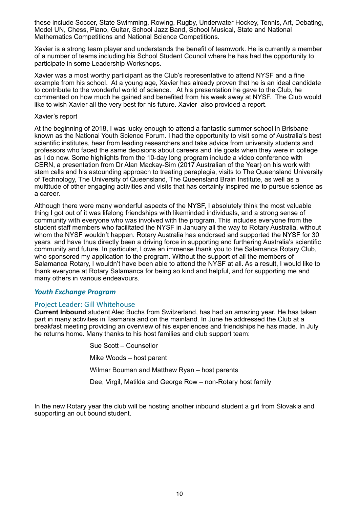these include Soccer, State Swimming, Rowing, Rugby, Underwater Hockey, Tennis, Art, Debating, Model UN, Chess, Piano, Guitar, School Jazz Band, School Musical, State and National Mathematics Competitions and National Science Competitions.

Xavier is a strong team player and understands the benefit of teamwork. He is currently a member of a number of teams including his School Student Council where he has had the opportunity to participate in some Leadership Workshops.

Xavier was a most worthy participant as the Club's representative to attend NYSF and a fine example from his school. At a young age, Xavier has already proven that he is an ideal candidate to contribute to the wonderful world of science. At his presentation he gave to the Club, he commented on how much he gained and benefited from his week away at NYSF. The Club would like to wish Xavier all the very best for his future. Xavier also provided a report.

#### Xavier's report

At the beginning of 2018, I was lucky enough to attend a fantastic summer school in Brisbane known as the National Youth Science Forum. I had the opportunity to visit some of Australia's best scientific institutes, hear from leading researchers and take advice from university students and professors who faced the same decisions about careers and life goals when they were in college as I do now. Some highlights from the 10-day long program include a video conference with CERN, a presentation from Dr Alan Mackay-Sim (2017 Australian of the Year) on his work with stem cells and his astounding approach to treating paraplegia, visits to The Queensland University of Technology, The University of Queensland, The Queensland Brain Institute, as well as a multitude of other engaging activities and visits that has certainly inspired me to pursue science as a career.

Although there were many wonderful aspects of the NYSF, I absolutely think the most valuable thing I got out of it was lifelong friendships with likeminded individuals, and a strong sense of community with everyone who was involved with the program. This includes everyone from the student staff members who facilitated the NYSF in January all the way to Rotary Australia, without whom the NYSF wouldn't happen. Rotary Australia has endorsed and supported the NYSF for 30 years and have thus directly been a driving force in supporting and furthering Australia's scientific community and future. In particular, I owe an immense thank you to the Salamanca Rotary Club, who sponsored my application to the program. Without the support of all the members of Salamanca Rotary, I wouldn't have been able to attend the NYSF at all. As a result, I would like to thank everyone at Rotary Salamanca for being so kind and helpful, and for supporting me and many others in various endeavours.

#### **Youth Exchange Program**

#### Project Leader: Gill Whitehouse

**Current Inbound** student Alec Buchs from Switzerland, has had an amazing year. He has taken part in many activities in Tasmania and on the mainland. In June he addressed the Club at a breakfast meeting providing an overview of his experiences and friendships he has made. In July he returns home. Many thanks to his host families and club support team:

> Sue Scott – Counsellor Mike Woods – host parent Wilmar Bouman and Matthew Ryan – host parents Dee, Virgil, Matilda and George Row – non-Rotary host family

In the new Rotary year the club will be hosting another inbound student a girl from Slovakia and supporting an out bound student.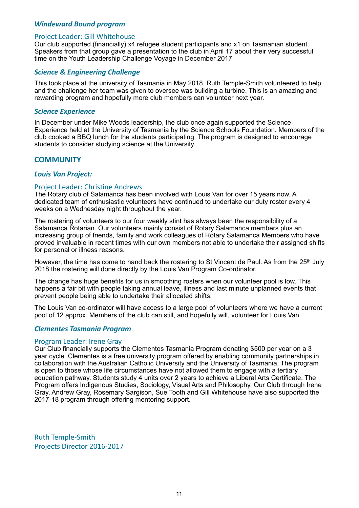#### *Windeward Bound program*

#### Project Leader: Gill Whitehouse

Our club supported (financially) x4 refugee student participants and x1 on Tasmanian student. Speakers from that group gave a presentation to the club in April 17 about their very successful time on the Youth Leadership Challenge Voyage in December 2017

#### **Science & Engineering Challenge**

This took place at the university of Tasmania in May 2018. Ruth Temple-Smith volunteered to help and the challenge her team was given to oversee was building a turbine. This is an amazing and rewarding program and hopefully more club members can volunteer next year.

#### *Science Experience*

In December under Mike Woods leadership, the club once again supported the Science Experience held at the University of Tasmania by the Science Schools Foundation. Members of the club cooked a BBQ lunch for the students participating. The program is designed to encourage students to consider studying science at the University.

#### **COMMUNITY**

#### *Louis Van Project:*

#### Project Leader: Christine Andrews

The Rotary club of Salamanca has been involved with Louis Van for over 15 years now. A dedicated team of enthusiastic volunteers have continued to undertake our duty roster every 4 weeks on a Wednesday night throughout the year.

The rostering of volunteers to our four weekly stint has always been the responsibility of a Salamanca Rotarian. Our volunteers mainly consist of Rotary Salamanca members plus an increasing group of friends, family and work colleagues of Rotary Salamanca Members who have proved invaluable in recent times with our own members not able to undertake their assigned shifts for personal or illness reasons.

However, the time has come to hand back the rostering to St Vincent de Paul. As from the 25<sup>th</sup> July 2018 the rostering will done directly by the Louis Van Program Co-ordinator.

The change has huge benefits for us in smoothing rosters when our volunteer pool is low. This happens a fair bit with people taking annual leave, illness and last minute unplanned events that prevent people being able to undertake their allocated shifts.

The Louis Van co-ordinator will have access to a large pool of volunteers where we have a current pool of 12 approx. Members of the club can still, and hopefully will, volunteer for Louis Van

#### *Clementes Tasmania Program*

#### Program Leader: Irene Gray

Our Club financially supports the Clementes Tasmania Program donating \$500 per year on a 3 year cycle. Clementes is a free university program offered by enabling community partnerships in collaboration with the Australian Catholic University and the University of Tasmania. The program is open to those whose life circumstances have not allowed them to engage with a tertiary education pathway. Students study 4 units over 2 years to achieve a Liberal Arts Certificate. The Program offers Indigenous Studies, Sociology, Visual Arts and Philosophy. Our Club through Irene Gray, Andrew Gray, Rosemary Sargison, Sue Tooth and Gill Whitehouse have also supported the 2017-18 program through offering mentoring support.

Ruth Temple-Smith Projects Director 2016-2017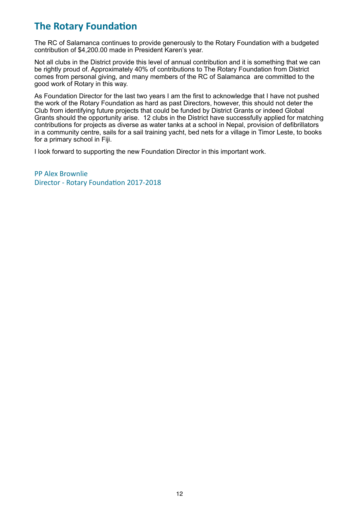# **The Rotary Foundation**

The RC of Salamanca continues to provide generously to the Rotary Foundation with a budgeted contribution of \$4,200.00 made in President Karen's year.

Not all clubs in the District provide this level of annual contribution and it is something that we can be rightly proud of. Approximately 40% of contributions to The Rotary Foundation from District comes from personal giving, and many members of the RC of Salamanca are committed to the good work of Rotary in this way.

As Foundation Director for the last two years I am the first to acknowledge that I have not pushed the work of the Rotary Foundation as hard as past Directors, however, this should not deter the Club from identifying future projects that could be funded by District Grants or indeed Global Grants should the opportunity arise. 12 clubs in the District have successfully applied for matching contributions for projects as diverse as water tanks at a school in Nepal, provision of defibrillators in a community centre, sails for a sail training yacht, bed nets for a village in Timor Leste, to books for a primary school in Fiji.

I look forward to supporting the new Foundation Director in this important work.

PP Alex Brownlie Director - Rotary Foundation 2017-2018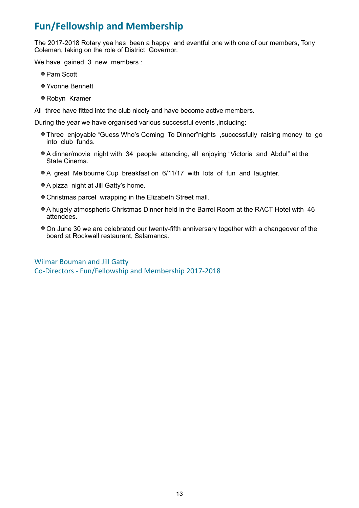# **Fun/Fellowship and Membership**

The 2017-2018 Rotary yea has been a happy and eventful one with one of our members, Tony Coleman, taking on the role of District Governor.

We have gained 3 new members :

- Pam Scott
- Yvonne Bennett
- Robyn Kramer

All three have fitted into the club nicely and have become active members.

During the year we have organised various successful events ,including:

- Three enjoyable "Guess Who's Coming To Dinner"nights ,successfully raising money to go into club funds.
- A dinner/movie night with 34 people attending, all enjoying "Victoria and Abdul" at the State Cinema.
- A great Melbourne Cup breakfast on 6/11/17 with lots of fun and laughter.
- A pizza night at Jill Gatty's home.
- Christmas parcel wrapping in the Elizabeth Street mall.
- A hugely atmospheric Christmas Dinner held in the Barrel Room at the RACT Hotel with 46 attendees.
- On June 30 we are celebrated our twenty-fifth anniversary together with a changeover of the board at Rockwall restaurant, Salamanca.

Wilmar Bouman and Jill Gatty Co-Directors - Fun/Fellowship and Membership 2017-2018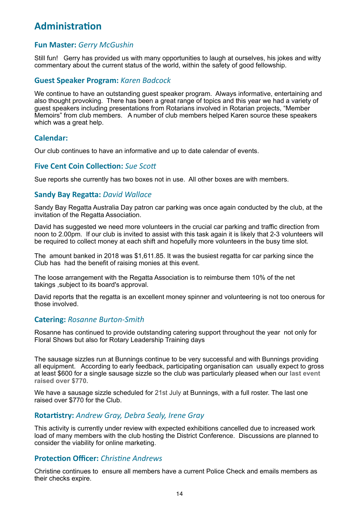# **Administration**

# **Fun Master:** *Gerry McGushin*

Still fun! Gerry has provided us with many opportunities to laugh at ourselves, his jokes and witty commentary about the current status of the world, within the safety of good fellowship.

# **Guest Speaker Program:** *Karen Badcock*

We continue to have an outstanding guest speaker program. Always informative, entertaining and also thought provoking. There has been a great range of topics and this year we had a variety of guest speakers including presentations from Rotarians involved in Rotarian projects, "Member Memoirs" from club members. A number of club members helped Karen source these speakers which was a great help.

# **Calendar:**

Our club continues to have an informative and up to date calendar of events.

# **Five Cent Coin Collection:** Sue Scott

Sue reports she currently has two boxes not in use. All other boxes are with members.

# **Sandy Bay Regatta: David Wallace**

Sandy Bay Regatta Australia Day patron car parking was once again conducted by the club, at the invitation of the Regatta Association.

David has suggested we need more volunteers in the crucial car parking and traffic direction from noon to 2.00pm. If our club is invited to assist with this task again it is likely that 2-3 volunteers will be required to collect money at each shift and hopefully more volunteers in the busy time slot.

The amount banked in 2018 was \$1,611.85. It was the busiest regatta for car parking since the Club has had the benefit of raising monies at this event.

The loose arrangement with the Regatta Association is to reimburse them 10% of the net takings ,subject to its board's approval.

David reports that the regatta is an excellent money spinner and volunteering is not too onerous for those involved.

# **Catering: Rosanne Burton-Smith**

Rosanne has continued to provide outstanding catering support throughout the year not only for Floral Shows but also for Rotary Leadership Training days

The sausage sizzles run at Bunnings continue to be very successful and with Bunnings providing all equipment. According to early feedback, participating organisation can usually expect to gross at least \$600 for a single sausage sizzle so the club was particularly pleased when our **last event raised over \$770.**

We have a sausage sizzle scheduled for 21st July at Bunnings, with a full roster. The last one raised over \$770 for the Club.

# **Rotartistry:** Andrew Gray, Debra Sealy, Irene Gray

This activity is currently under review with expected exhibitions cancelled due to increased work load of many members with the club hosting the District Conference. Discussions are planned to consider the viability for online marketing.

# **Protection Officer:** *Christine Andrews*

Christine continues to ensure all members have a current Police Check and emails members as their checks expire.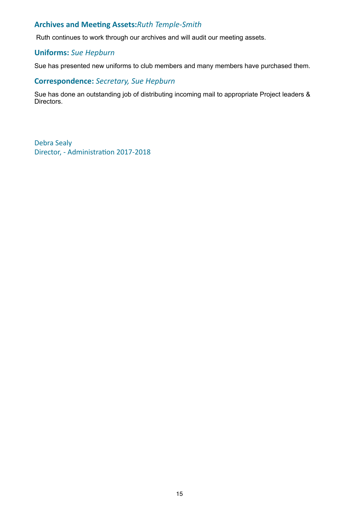# **Archives and Meeting Assets:***Ruth Temple-Smith*

Ruth continues to work through our archives and will audit our meeting assets.

# **Uniforms:** *Sue Hepburn*

Sue has presented new uniforms to club members and many members have purchased them.

# **Correspondence:** *Secretary, Sue Hepburn*

Sue has done an outstanding job of distributing incoming mail to appropriate Project leaders & Directors.

Debra Sealy Director, - Administration 2017-2018